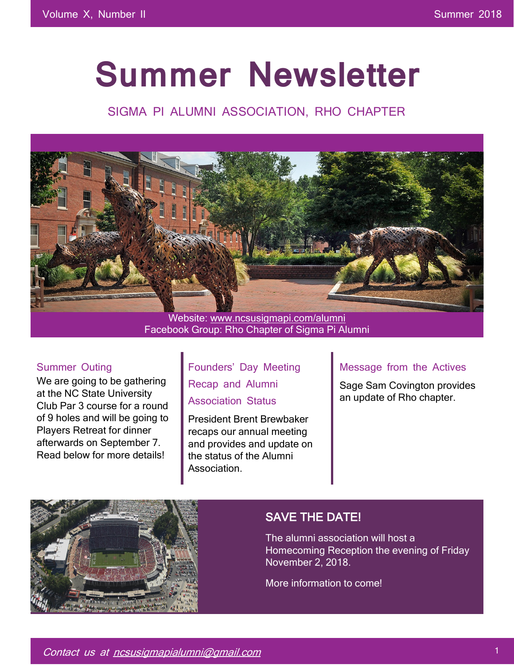# **Summer Newsletter**

# SIGMA PI ALUMNI ASSOCIATION, RHO CHAPTER



Facebook Group: Rho Chapter of Sigma Pi Alumni

#### Summer Outing

We are going to be gathering at the NC State University Club Par 3 course for a round of 9 holes and will be going to Players Retreat for dinner afterwards on September 7. Read below for more details!

Founders' Day Meeting Recap and Alumni Association Status

President Brent Brewbaker recaps our annual meeting and provides and update on the status of the Alumni **Association** 

#### Message from the Actives

Sage Sam Covington provides an update of Rho chapter.



## SAVE THE DATE!

The alumni association will host a Homecoming Reception the evening of Friday November 2, 2018.

More information to come!

Contact us at ncsusigmapialumni@gmail.com 1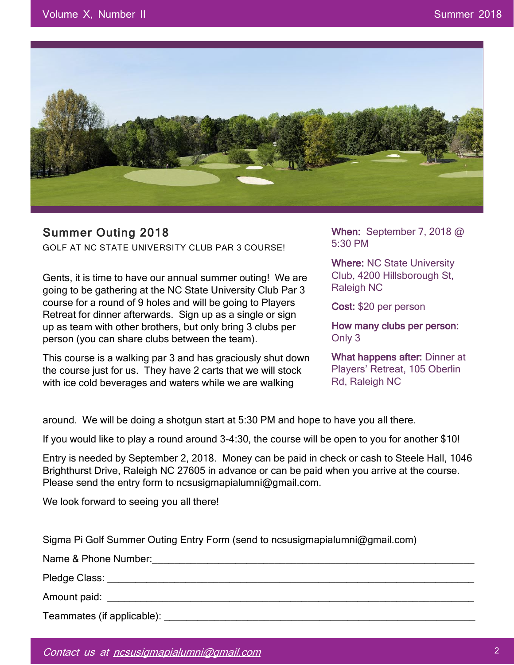

## Summer Outing 2018

GOLF AT NC STATE UNIVERSITY CLUB PAR 3 COURSE!

Gents, it is time to have our annual summer outing! We are going to be gathering at the NC State University Club Par 3 course for a round of 9 holes and will be going to Players Retreat for dinner afterwards. Sign up as a single or sign up as team with other brothers, but only bring 3 clubs per person (you can share clubs between the team).

This course is a walking par 3 and has graciously shut down the course just for us. They have 2 carts that we will stock with ice cold beverages and waters while we are walking

When: September 7, 2018 @ 5:30 PM

Where: NC State University Club, 4200 Hillsborough St, Raleigh NC

Cost: \$20 per person

How many clubs per person: Only 3

What happens after: Dinner at Players' Retreat, 105 Oberlin Rd, Raleigh NC

around. We will be doing a shotgun start at 5:30 PM and hope to have you all there.

If you would like to play a round around 3-4:30, the course will be open to you for another \$10!

Entry is needed by September 2, 2018. Money can be paid in check or cash to Steele Hall, 1046 Brighthurst Drive, Raleigh NC 27605 in advance or can be paid when you arrive at the course. Please send the entry form to ncsusigmapialumni@gmail.com.

We look forward to seeing you all there!

Sigma Pi Golf Summer Outing Entry Form (send to ncsusigmapialumni@gmail.com)

Name & Phone Number:\_\_\_\_\_\_\_\_\_\_\_\_\_\_\_\_\_\_\_\_\_\_\_\_\_\_\_\_\_\_\_\_\_\_\_\_\_\_\_\_\_\_\_\_\_\_\_\_\_\_\_\_\_\_\_\_\_\_

Pledge Class: \_\_\_\_\_\_\_\_\_\_\_\_\_\_\_\_\_\_\_\_\_\_\_\_\_\_\_\_\_\_\_\_\_\_\_\_\_\_\_\_\_\_\_\_\_\_\_\_\_\_\_\_\_\_\_\_\_\_\_\_\_\_\_\_\_\_

Amount paid: \_\_\_\_\_\_\_\_\_\_\_\_\_\_\_\_\_\_\_\_\_\_\_\_\_\_\_\_\_\_\_\_\_\_\_\_\_\_\_\_\_\_\_\_\_\_\_\_\_\_\_\_\_\_\_\_\_\_\_\_\_\_\_\_\_\_

Teammates (if applicable): \_\_\_\_\_\_\_\_\_\_\_\_\_\_\_\_\_\_\_\_\_\_\_\_\_\_\_\_\_\_\_\_\_\_\_\_\_\_\_\_\_\_\_\_\_\_\_\_\_\_\_\_\_\_\_\_

Attending Dinner: Yes \_\_\_ No \_\_\_\_

Contact us at ncsusigmapialumni@gmail.com 2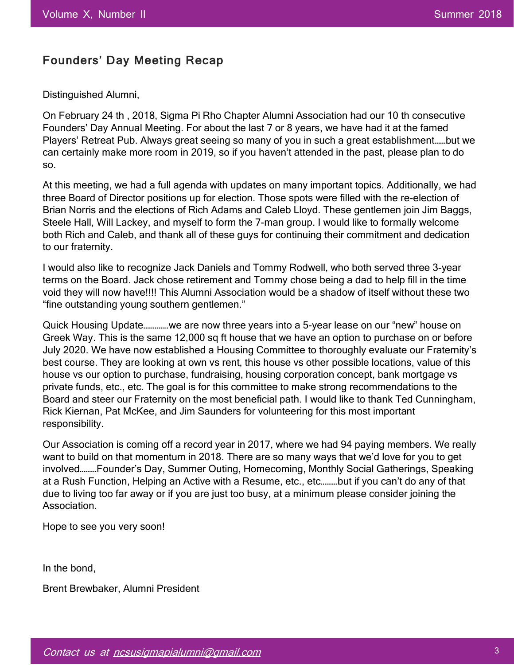## Founders' Day Meeting Recap

Distinguished Alumni,

On February 24 th , 2018, Sigma Pi Rho Chapter Alumni Association had our 10 th consecutive Founders' Day Annual Meeting. For about the last 7 or 8 years, we have had it at the famed Players' Retreat Pub. Always great seeing so many of you in such a great establishment……but we can certainly make more room in 2019, so if you haven't attended in the past, please plan to do so.

At this meeting, we had a full agenda with updates on many important topics. Additionally, we had three Board of Director positions up for election. Those spots were filled with the re-election of Brian Norris and the elections of Rich Adams and Caleb Lloyd. These gentlemen join Jim Baggs, Steele Hall, Will Lackey, and myself to form the 7-man group. I would like to formally welcome both Rich and Caleb, and thank all of these guys for continuing their commitment and dedication to our fraternity.

I would also like to recognize Jack Daniels and Tommy Rodwell, who both served three 3-year terms on the Board. Jack chose retirement and Tommy chose being a dad to help fill in the time void they will now have!!!! This Alumni Association would be a shadow of itself without these two "fine outstanding young southern gentlemen."

Quick Housing Update………….we are now three years into a 5-year lease on our "new" house on Greek Way. This is the same 12,000 sq ft house that we have an option to purchase on or before July 2020. We have now established a Housing Committee to thoroughly evaluate our Fraternity's best course. They are looking at own vs rent, this house vs other possible locations, value of this house vs our option to purchase, fundraising, housing corporation concept, bank mortgage vs private funds, etc., etc. The goal is for this committee to make strong recommendations to the Board and steer our Fraternity on the most beneficial path. I would like to thank Ted Cunningham, Rick Kiernan, Pat McKee, and Jim Saunders for volunteering for this most important responsibility.

Our Association is coming off a record year in 2017, where we had 94 paying members. We really want to build on that momentum in 2018. There are so many ways that we'd love for you to get involved………Founder's Day, Summer Outing, Homecoming, Monthly Social Gatherings, Speaking at a Rush Function, Helping an Active with a Resume, etc., etc………but if you can't do any of that due to living too far away or if you are just too busy, at a minimum please consider joining the Association.

Hope to see you very soon!

In the bond,

Brent Brewbaker, Alumni President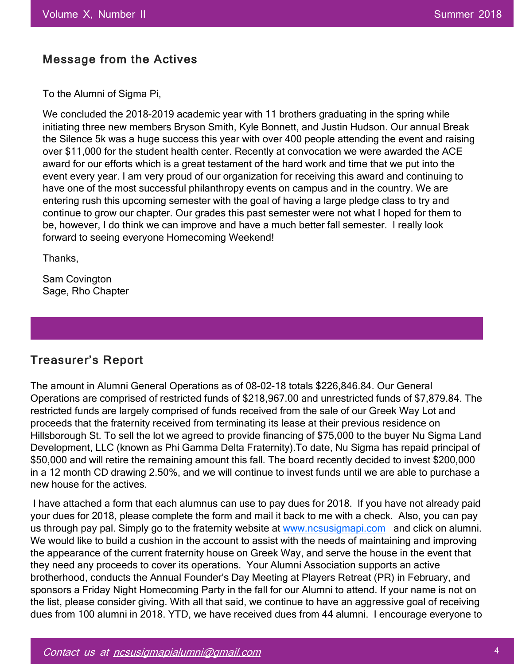#### Message from the Actives

To the Alumni of Sigma Pi,

We concluded the 2018-2019 academic year with 11 brothers graduating in the spring while initiating three new members Bryson Smith, Kyle Bonnett, and Justin Hudson. Our annual Break the Silence 5k was a huge success this year with over 400 people attending the event and raising over \$11,000 for the student health center. Recently at convocation we were awarded the ACE award for our efforts which is a great testament of the hard work and time that we put into the event every year. I am very proud of our organization for receiving this award and continuing to have one of the most successful philanthropy events on campus and in the country. We are entering rush this upcoming semester with the goal of having a large pledge class to try and continue to grow our chapter. Our grades this past semester were not what I hoped for them to be, however, I do think we can improve and have a much better fall semester. I really look forward to seeing everyone Homecoming Weekend!

Thanks,

Sam Covington Sage, Rho Chapter

#### Treasurer's Report

The amount in Alumni General Operations as of 08-02-18 totals \$226,846.84. Our General Operations are comprised of restricted funds of \$218,967.00 and unrestricted funds of \$7,879.84. The restricted funds are largely comprised of funds received from the sale of our Greek Way Lot and proceeds that the fraternity received from terminating its lease at their previous residence on Hillsborough St. To sell the lot we agreed to provide financing of \$75,000 to the buyer Nu Sigma Land Development, LLC (known as Phi Gamma Delta Fraternity).To date, Nu Sigma has repaid principal of \$50,000 and will retire the remaining amount this fall. The board recently decided to invest \$200,000 in a 12 month CD drawing 2.50%, and we will continue to invest funds until we are able to purchase a new house for the actives.

I have attached a form that each alumnus can use to pay dues for 2018. If you have not already paid your dues for 2018, please complete the form and mail it back to me with a check. Also, you can pay us through pay pal. Simply go to the fraternity website at www.ncsusigmapi.com and click on alumni. We would like to build a cushion in the account to assist with the needs of maintaining and improving the appearance of the current fraternity house on Greek Way, and serve the house in the event that they need any proceeds to cover its operations. Your Alumni Association supports an active brotherhood, conducts the Annual Founder's Day Meeting at Players Retreat (PR) in February, and sponsors a Friday Night Homecoming Party in the fall for our Alumni to attend. If your name is not on the list, please consider giving. With all that said, we continue to have an aggressive goal of receiving dues from 100 alumni in 2018. YTD, we have received dues from 44 alumni. I encourage everyone to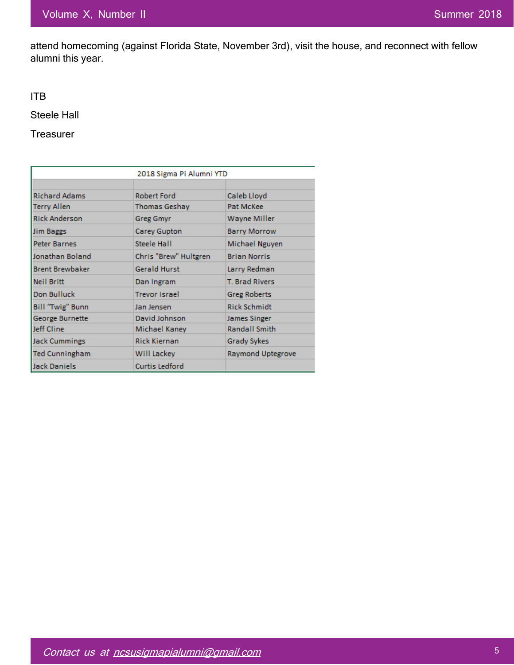attend homecoming (against Florida State, November 3rd), visit the house, and reconnect with fellow alumni this year.

ITB

Steele Hall

**Treasurer** 

|                        | 2018 Sigma Pi Alumni YTD                    |                      |  |
|------------------------|---------------------------------------------|----------------------|--|
|                        |                                             |                      |  |
| <b>Richard Adams</b>   | Robert Ford                                 | Caleb Lloyd          |  |
| Terry Allen            | <b>Thomas Geshay</b><br>Pat McKee           |                      |  |
| <b>Rick Anderson</b>   | Wayne Miller<br><b>Greg Gmyr</b>            |                      |  |
| Jim Baggs              | Carey Gupton                                | <b>Barry Morrow</b>  |  |
| Peter Barnes           | Steele Hall                                 | Michael Nguyen       |  |
| Jonathan Boland        | Chris "Brew" Hultgren                       | <b>Brian Norris</b>  |  |
| <b>Brent Brewbaker</b> | <b>Gerald Hurst</b>                         | Larry Redman         |  |
| Neil Britt             | <b>T. Brad Rivers</b><br>Dan Ingram         |                      |  |
| Don Bulluck            | <b>Trevor Israel</b><br><b>Greg Roberts</b> |                      |  |
| Bill "Twig" Bunn       | <b>Rick Schmidt</b><br>Jan Jensen           |                      |  |
| George Burnette        | David Johnson                               | James Singer         |  |
| Jeff Cline             | Michael Kaney                               | <b>Randall Smith</b> |  |
| <b>Jack Cummings</b>   | <b>Rick Kiernan</b>                         | <b>Grady Sykes</b>   |  |
| <b>Ted Cunningham</b>  | Will Lackey                                 | Raymond Uptegrove    |  |
| <b>Jack Daniels</b>    | Curtis Ledford                              |                      |  |